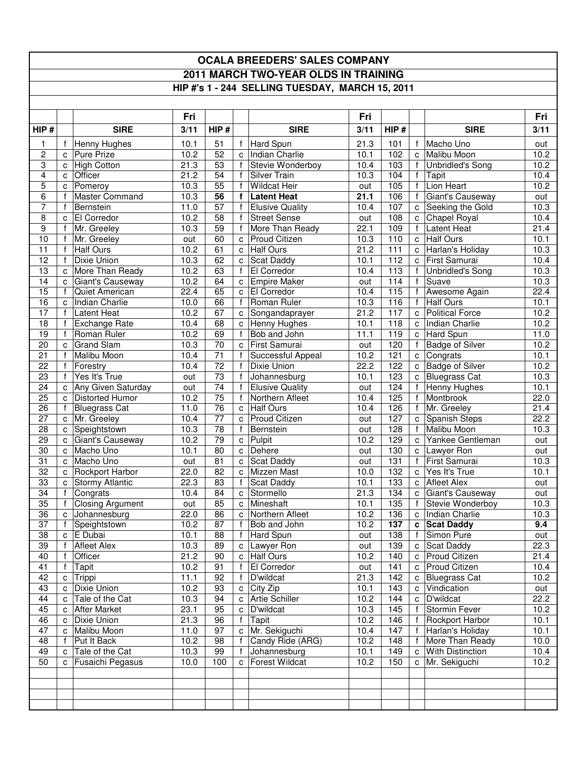## **OCALA BREEDERS' SALES COMPANY 2011 MARCH TWO-YEAR OLDS IN TRAINING HIP #'s 1 - 244 SELLING TUESDAY, MARCH 15, 2011**

|                 |                              |                                     | Fri         |                                    |                              |                                     | Fri         |                         |                   |                           | Fri          |
|-----------------|------------------------------|-------------------------------------|-------------|------------------------------------|------------------------------|-------------------------------------|-------------|-------------------------|-------------------|---------------------------|--------------|
| HIP#            |                              | <b>SIRE</b>                         | 3/11        | HIP#                               |                              | <b>SIRE</b>                         | 3/11        | HIP#                    |                   | <b>SIRE</b>               | 3/11         |
| 1               | f                            | Henny Hughes                        | 10.1        | 51                                 | $\mathsf{f}$                 | Hard Spun                           | 21.3        | 101                     | f                 | Macho Uno                 | out          |
| $\overline{c}$  | C                            | <b>Pure Prize</b>                   | 10.2        | 52                                 | $\mathbf{C}$                 | Indian Charlie                      | 10.1        | 102                     | $\mathbf{C}$      | Malibu Moon               | 10.2         |
| 3               | c                            | <b>High Cotton</b>                  | 21.3        | 53                                 | f                            | Stevie Wonderboy                    | 10.4        | 103                     | f                 | <b>Unbridled's Song</b>   | 10.2         |
| $\overline{4}$  | C                            | Officer                             | 21.2        | $\overline{54}$                    | f                            | Silver Train                        | 10.3        | 104                     | $\mathsf{f}$      | Tapit                     | 10.4         |
| 5               | c                            | Pomeroy                             | 10.3        | $\overline{55}$                    | f                            | <b>Wildcat Heir</b>                 | out         | 105                     | $\mathsf{f}$      | Lion Heart                | 10.2         |
| 6               | f                            | <b>Master Command</b>               | 10.3        | 56                                 | $\mathbf f$                  | <b>Latent Heat</b>                  | 21.1        | 106                     | $\mathsf{f}$      | Giant's Causeway          | out          |
| 7               | $\mathsf{f}$                 | Bernstein                           | 11.0        | $\overline{57}$                    | f                            | <b>Elusive Quality</b>              | 10.4        | 107                     |                   | c Seeking the Gold        | 10.3         |
| 8               | C                            | El Corredor                         | 10.2        | 58                                 | f                            | <b>Street Sense</b>                 | out         | 108                     | $\mathbf{C}$      | Chapel Royal              | 10.4         |
| 9               | f                            | Mr. Greeley                         | 10.3        | 59                                 | f                            | More Than Ready                     | 22.1        | 109                     | f                 | Latent Heat               | 21.4         |
| 10              | f                            | Mr. Greeley                         | out         | 60                                 | C                            | <b>Proud Citizen</b>                | 10.3        | 110                     | C                 | <b>Half Ours</b>          | 10.1         |
| 11              | $\mathsf{f}$                 | <b>Half Ours</b>                    | 10.2        | 61                                 | $\mathbf{C}$                 | <b>Half Ours</b>                    | 21.2        | 111                     | $\mathbf{C}$      | Harlan's Holiday          | 10.3         |
| 12              | $\mathbf{f}$                 | Dixie Union                         | 10.3        | 62                                 | C                            | <b>Scat Daddy</b>                   | 10.1        | 112                     | $\mathbf{C}$      | First Samurai             | 10.4         |
| 13              | C                            | More Than Ready                     | 10.2        | 63                                 | f                            | El Corredor                         | 10.4        | $\overline{113}$        |                   | <b>Unbridled's Song</b>   | 10.3         |
| 14              | C                            | Giant's Causeway                    | 10.2        | 64                                 | C                            | <b>Empire Maker</b>                 | out         | 114                     | f                 | Suave                     | 10.3         |
| 15              | f                            | Quiet American                      | 22.4        | 65                                 | $\mathbf{C}$                 | El Corredor                         | 10.4        | 115                     |                   | Awesome Again             | 22.4         |
| $\overline{16}$ | c                            | Indian Charlie                      | 10.0        | 66                                 | $\mathbf{f}$                 | Roman Ruler                         | 10.3        | 116                     | f                 | <b>Half Ours</b>          | 10.1         |
| 17              | $\mathbf{f}$                 | <b>Latent Heat</b>                  | 10.2        | 67                                 | $\mathbf{C}$                 | Songandaprayer                      | 21.2        | 117                     | C                 | <b>Political Force</b>    | 10.2         |
| 18              | f                            | <b>Exchange Rate</b>                | 10.4        | 68                                 | $\mathbf{C}$                 | <b>Henny Hughes</b>                 | 10.1        | 118                     | c l               | Indian Charlie            | 10.2         |
| 19              | $\mathbf{f}$                 | Roman Ruler                         | 10.2        | 69                                 | f                            | Bob and John                        | 11.1        | 119                     | $\mathbf{C}$      | Hard Spun                 | 11.0         |
| 20              | C                            | <b>Grand Slam</b>                   | 10.3        | $\overline{70}$<br>$\overline{71}$ | $\mathbf{C}$<br>f            | First Samurai                       | out         | 120                     | $\mathsf{f}$      | <b>Badge of Silver</b>    | 10.2         |
| 21              | f                            | Malibu Moon                         | 10.4        |                                    |                              | Successful Appeal                   | 10.2        | 121                     | $\mathbf{c}$      | Congrats                  | 10.1         |
| 22              | $\mathbf{f}$<br>$\mathbf{f}$ | Forestry<br>Yes It's True           | 10.4        | $\overline{72}$<br>$\overline{73}$ | $\mathbf{f}$<br>$\mathbf{f}$ | Dixie Union<br>Johannesburg         | 22.2        | 122<br>$\overline{123}$ | $\mathbf{C}$      | Badge of Silver           | 10.2         |
| 23              |                              |                                     | out         | 74                                 | f                            |                                     | 10.1        | 124                     | $\mathbf{C}$<br>f | <b>Bluegrass Cat</b>      | 10.3<br>10.1 |
| 24<br>25        | c                            | Any Given Saturday                  | out<br>10.2 | $\overline{75}$                    | f                            | <b>Elusive Quality</b>              | out<br>10.4 | $\frac{125}{2}$         | f                 | Henny Hughes<br>Montbrook | 22.0         |
|                 | C<br>$\mathsf{f}$            | <b>Distorted Humor</b>              | 11.0        | 76                                 |                              | Northern Afleet<br><b>Half Ours</b> | 10.4        | 126                     | $\mathbf{f}$      | Mr. Greeley               | 21.4         |
| 26<br>27        | C                            | <b>Bluegrass Cat</b><br>Mr. Greeley | 10.4        | 77                                 | $\mathbf{C}$<br>C.           | Proud Citizen                       | out         | 127                     |                   | Spanish Steps             | 22.2         |
| 28              |                              | Speightstown                        | 10.3        | 78                                 | f                            | Bernstein                           | out         | 128                     | $\mathbf{C}$<br>f | Malibu Moon               | 10.3         |
| $\overline{29}$ | c<br>C                       | Giant's Causeway                    | 10.2        | $\overline{79}$                    | $\mathbf{C}$                 | Pulpit                              | 10.2        | 129                     | $\mathsf{C}$      | Yankee Gentleman          |              |
| 30              | C                            | Macho Uno                           | 10.1        | 80                                 | $\mathbf{C}$                 | Dehere                              | out         | 130                     |                   | c Lawyer Ron              | out<br>out   |
| 31              | c                            | Macho Uno                           | out         | 81                                 | $\mathbf{C}$                 | <b>Scat Daddy</b>                   | out         | 131                     | f                 | First Samurai             | 10.3         |
| 32              | C                            | <b>Rockport Harbor</b>              | 22.0        | $\overline{82}$                    | $\mathbf{c}$                 | Mizzen Mast                         | 10.0        | 132                     | $\mathbf{C}$      | Yes It's True             | 10.1         |
| 33              | c                            | <b>Stormy Atlantic</b>              | 22.3        | 83                                 | f                            | Scat Daddy                          | 10.1        | 133                     | $\mathbf{C}$      | <b>Afleet Alex</b>        | out          |
| 34              | $\mathsf{f}$                 | Congrats                            | 10.4        | 84                                 | c                            | Stormello                           | 21.3        | 134                     | $\mathbf{C}$      | Giant's Causeway          | out          |
| 35              | $\mathsf{f}$                 | <b>Closing Argument</b>             | out         | 85                                 | $\mathbf{C}$                 | Mineshaft                           | 10.1        | 135                     |                   | Stevie Wonderboy          | 10.3         |
| 36              | $\mathbf{c}$                 | Johannesburg                        | 22.0        | 86                                 | $\mathbf{C}$                 | Northern Afleet                     | 10.2        | 136                     |                   | c   Indian Charlie        | 10.3         |
| 37              | f                            | Speightstown                        | 10.2        | 87                                 | f                            | Bob and John                        | 10.2        | 137                     |                   | c Scat Daddy              | 9.4          |
| 38              |                              | c E Dubai                           | 10.1        | 88                                 |                              | f Hard Spun                         | out         | $\overline{138}$        |                   | f Simon Pure              | out          |
| 39              | $\mathbf{f}$                 | <b>Afleet Alex</b>                  | 10.3        | 89                                 |                              | c Lawyer Ron                        | out         | 139                     |                   | c Scat Daddy              | 22.3         |
| 40              | f                            | Officer                             | 21.2        | 90                                 | $\mathbf{C}$                 | Half Ours                           | 10.2        | 140                     | $\mathbf{C}$      | Proud Citizen             | 21.4         |
| 41              | f                            | Tapit                               | 10.2        | 91                                 | f                            | El Corredor                         | out         | 141                     |                   | c Proud Citizen           | 10.4         |
| 42              | $\mathbf{C}$                 | Trippi                              | 11.1        | 92                                 | $\mathsf{f}$                 | D'wildcat                           | 21.3        | 142                     |                   | c Bluegrass Cat           | 10.2         |
| 43              | $\mathbf{C}$                 | <b>Dixie Union</b>                  | 10.2        | 93                                 | ${\bf c}$                    | City Zip                            | 10.1        | 143                     |                   | c Vindication             | out          |
| 44              | c                            | Tale of the Cat                     | 10.3        | 94                                 | $\mathbf c$                  | Artie Schiller                      | 10.2        | 144                     | $\mathbf{C}$      | D'wildcat                 | 22.2         |
| 45              | c                            | <b>After Market</b>                 | 23.1        | 95                                 | $\mathbf c$                  | D'wildcat                           | 10.3        | 145                     | $\mathsf{f}$      | Stormin Fever             | 10.2         |
| 46              | C                            | Dixie Union                         | 21.3        | 96                                 | f                            | Tapit                               | 10.2        | 146                     | f                 | Rockport Harbor           | 10.1         |
| 47              | c                            | Malibu Moon                         | 11.0        | 97                                 | $\mathbf{C}$                 | Mr. Sekiguchi                       | 10.4        | 147                     |                   | Harlan's Holiday          | 10.1         |
| 48              | f                            | Put It Back                         | 10.2        | 98                                 | $\mathsf{f}$                 | Candy Ride (ARG)                    | 10.2        | 148                     |                   | More Than Ready           | 10.0         |
| 49              | C                            | Tale of the Cat                     | 10.3        | 99                                 | f                            | Johannesburg                        | 10.1        | 149                     |                   | c With Distinction        | 10.4         |
| 50              | C                            | Fusaichi Pegasus                    | 10.0        | 100                                | $\mathbf{C}$                 | <b>Forest Wildcat</b>               | 10.2        | 150                     |                   | c Mr. Sekiguchi           | 10.2         |
|                 |                              |                                     |             |                                    |                              |                                     |             |                         |                   |                           |              |
|                 |                              |                                     |             |                                    |                              |                                     |             |                         |                   |                           |              |
|                 |                              |                                     |             |                                    |                              |                                     |             |                         |                   |                           |              |
|                 |                              |                                     |             |                                    |                              |                                     |             |                         |                   |                           |              |
|                 |                              |                                     |             |                                    |                              |                                     |             |                         |                   |                           |              |